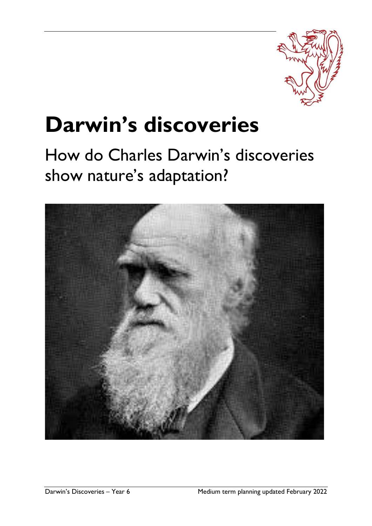

# **Darwin's discoveries**

## How do Charles Darwin's discoveries show nature's adaptation?

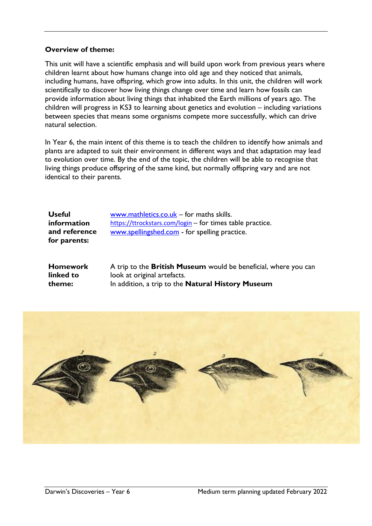### **Overview of theme:**

This unit will have a scientific emphasis and will build upon work from previous years where children learnt about how humans change into old age and they noticed that animals, including humans, have offspring, which grow into adults. In this unit, the children will work scientifically to discover how living things change over time and learn how fossils can provide information about living things that inhabited the Earth millions of years ago. The children will progress in KS3 to learning about genetics and evolution – including variations between species that means some organisms compete more successfully, which can drive natural selection.

In Year 6, the main intent of this theme is to teach the children to identify how animals and plants are adapted to suit their environment in different ways and that adaptation may lead to evolution over time. By the end of the topic, the children will be able to recognise that living things produce offspring of the same kind, but normally offspring vary and are not identical to their parents.

| <b>Useful</b> |
|---------------|
| information   |
| and reference |
| for parents:  |

[www.mathletics.co.uk](http://www.mathletics.co.uk/) - for maths skills. <https://ttrockstars.com/login> – for times table practice. [www.spellingshed.com](http://www.spellingshed.com/) - for spelling practice.

| <b>Homework</b> | A trip to the <b>British Museum</b> would be beneficial, where you can |
|-----------------|------------------------------------------------------------------------|
| linked to       | look at original artefacts.                                            |
| theme:          | In addition, a trip to the <b>Natural History Museum</b>               |

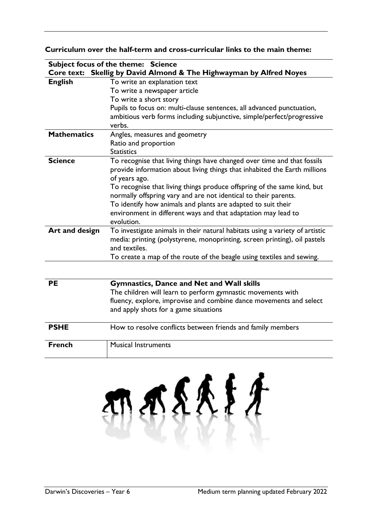#### **Curriculum over the half-term and cross-curricular links to the main theme:**

|                    | Subject focus of the theme: Science                                          |
|--------------------|------------------------------------------------------------------------------|
|                    | Core text: Skellig by David Almond & The Highwayman by Alfred Noyes          |
| <b>English</b>     | To write an explanation text                                                 |
|                    | To write a newspaper article                                                 |
|                    | To write a short story                                                       |
|                    | Pupils to focus on: multi-clause sentences, all advanced punctuation,        |
|                    | ambitious verb forms including subjunctive, simple/perfect/progressive       |
|                    | verbs.                                                                       |
| <b>Mathematics</b> | Angles, measures and geometry                                                |
|                    | Ratio and proportion                                                         |
|                    | <b>Statistics</b>                                                            |
| <b>Science</b>     | To recognise that living things have changed over time and that fossils      |
|                    | provide information about living things that inhabited the Earth millions    |
|                    | of years ago.                                                                |
|                    | To recognise that living things produce offspring of the same kind, but      |
|                    | normally offspring vary and are not identical to their parents.              |
|                    | To identify how animals and plants are adapted to suit their                 |
|                    | environment in different ways and that adaptation may lead to                |
|                    | evolution.                                                                   |
| Art and design     | To investigate animals in their natural habitats using a variety of artistic |
|                    | media: printing (polystyrene, monoprinting, screen printing), oil pastels    |
|                    | and textiles.                                                                |
|                    | To create a map of the route of the beagle using textiles and sewing.        |
|                    |                                                                              |
|                    |                                                                              |
| <b>PE</b>          | <b>Gymnastics, Dance and Net and Wall skills</b>                             |
|                    | The children will learn to perform gymnastic movements with                  |
|                    | fluency, explore, improvise and combine dance movements and select           |
|                    | and apply shots for a game situations                                        |
|                    |                                                                              |
| <b>PSHE</b>        | How to resolve conflicts between friends and family members                  |
|                    |                                                                              |
| <b>French</b>      | <b>Musical Instruments</b>                                                   |